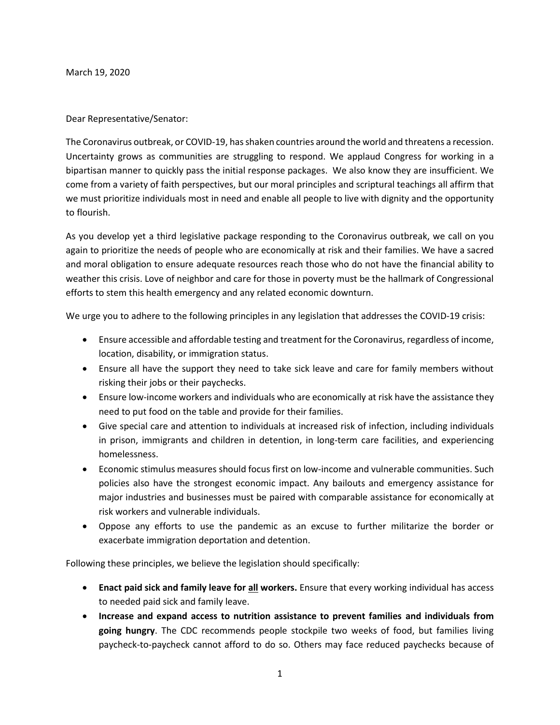March 19, 2020

Dear Representative/Senator:

The Coronavirus outbreak, or COVID-19, has shaken countries around the world and threatens a recession. Uncertainty grows as communities are struggling to respond. We applaud Congress for working in a bipartisan manner to quickly pass the initial response packages. We also know they are insufficient. We come from a variety of faith perspectives, but our moral principles and scriptural teachings all affirm that we must prioritize individuals most in need and enable all people to live with dignity and the opportunity to flourish.

As you develop yet a third legislative package responding to the Coronavirus outbreak, we call on you again to prioritize the needs of people who are economically at risk and their families. We have a sacred and moral obligation to ensure adequate resources reach those who do not have the financial ability to weather this crisis. Love of neighbor and care for those in poverty must be the hallmark of Congressional efforts to stem this health emergency and any related economic downturn.

We urge you to adhere to the following principles in any legislation that addresses the COVID-19 crisis:

- Ensure accessible and affordable testing and treatment for the Coronavirus, regardless of income, location, disability, or immigration status.
- Ensure all have the support they need to take sick leave and care for family members without risking their jobs or their paychecks.
- Ensure low-income workers and individuals who are economically at risk have the assistance they need to put food on the table and provide for their families.
- Give special care and attention to individuals at increased risk of infection, including individuals in prison, immigrants and children in detention, in long-term care facilities, and experiencing homelessness.
- Economic stimulus measures should focus first on low-income and vulnerable communities. Such policies also have the strongest economic impact. Any bailouts and emergency assistance for major industries and businesses must be paired with comparable assistance for economically at risk workers and vulnerable individuals.
- Oppose any efforts to use the pandemic as an excuse to further militarize the border or exacerbate immigration deportation and detention.

Following these principles, we believe the legislation should specifically:

- **Enact paid sick and family leave for all workers.** Ensure that every working individual has access to needed paid sick and family leave.
- **Increase and expand access to nutrition assistance to prevent families and individuals from going hungry**. The CDC recommends people stockpile two weeks of food, but families living paycheck-to-paycheck cannot afford to do so. Others may face reduced paychecks because of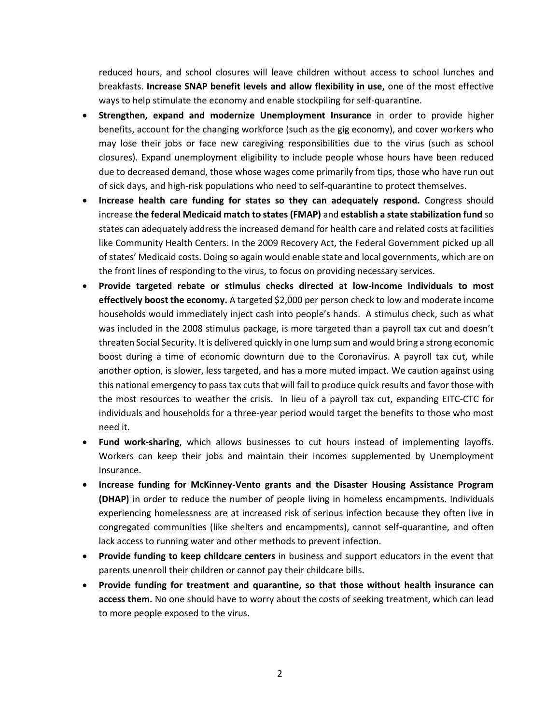reduced hours, and school closures will leave children without access to school lunches and breakfasts. **Increase SNAP benefit levels and allow flexibility in use,** one of the most effective ways to help stimulate the economy and enable stockpiling for self-quarantine.

- **Strengthen, expand and modernize Unemployment Insurance** in order to provide higher benefits, account for the changing workforce (such as the gig economy), and cover workers who may lose their jobs or face new caregiving responsibilities due to the virus (such as school closures). Expand unemployment eligibility to include people whose hours have been reduced due to decreased demand, those whose wages come primarily from tips, those who have run out of sick days, and high-risk populations who need to self-quarantine to protect themselves.
- **Increase health care funding for states so they can adequately respond.** Congress should increase **the federal Medicaid match to states (FMAP)** and **establish a state stabilization fund** so states can adequately address the increased demand for health care and related costs at facilities like Community Health Centers. In the 2009 Recovery Act, the Federal Government picked up all of states' Medicaid costs. Doing so again would enable state and local governments, which are on the front lines of responding to the virus, to focus on providing necessary services.
- **Provide targeted rebate or stimulus checks directed at low-income individuals to most effectively boost the economy.** A targeted \$2,000 per person check to low and moderate income households would immediately inject cash into people's hands. A stimulus check, such as what was included in the 2008 stimulus package, is more targeted than a payroll tax cut and doesn't threaten Social Security. It is delivered quickly in one lump sum and would bring a strong economic boost during a time of economic downturn due to the Coronavirus. A payroll tax cut, while another option, is slower, less targeted, and has a more muted impact. We caution against using this national emergency to pass tax cuts that will fail to produce quick results and favor those with the most resources to weather the crisis. In lieu of a payroll tax cut, expanding EITC-CTC for individuals and households for a three-year period would target the benefits to those who most need it.
- **Fund work-sharing**, which allows businesses to cut hours instead of implementing layoffs. Workers can keep their jobs and maintain their incomes supplemented by Unemployment Insurance.
- **Increase funding for McKinney-Vento grants and the Disaster Housing Assistance Program (DHAP)** in order to reduce the number of people living in homeless encampments. Individuals experiencing homelessness are at increased risk of serious infection because they often live in congregated communities (like shelters and encampments), cannot self-quarantine, and often lack access to running water and other methods to prevent infection.
- **Provide funding to keep childcare centers** in business and support educators in the event that parents unenroll their children or cannot pay their childcare bills.
- **Provide funding for treatment and quarantine, so that those without health insurance can access them.** No one should have to worry about the costs of seeking treatment, which can lead to more people exposed to the virus.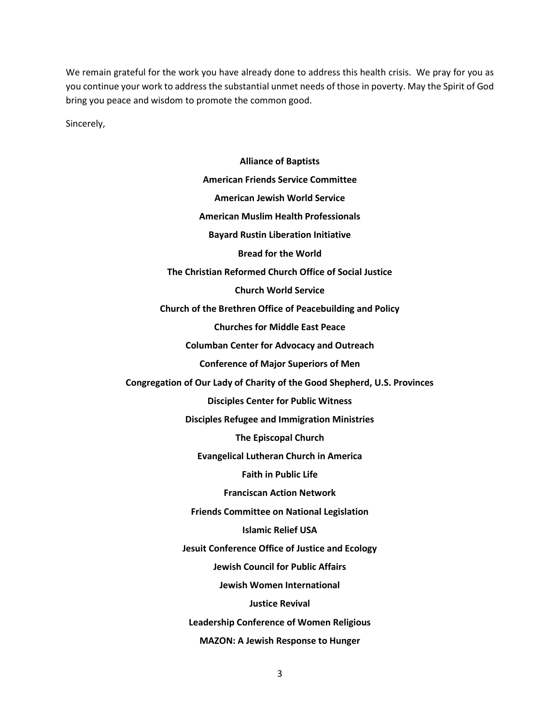We remain grateful for the work you have already done to address this health crisis. We pray for you as you continue your work to address the substantial unmet needs of those in poverty. May the Spirit of God bring you peace and wisdom to promote the common good.

Sincerely,

**Alliance of Baptists American Friends Service Committee American Jewish World Service American Muslim Health Professionals Bayard Rustin Liberation Initiative Bread for the World The Christian Reformed Church Office of Social Justice Church World Service Church of the Brethren Office of Peacebuilding and Policy Churches for Middle East Peace Columban Center for Advocacy and Outreach Conference of Major Superiors of Men Congregation of Our Lady of Charity of the Good Shepherd, U.S. Provinces Disciples Center for Public Witness Disciples Refugee and Immigration Ministries The Episcopal Church Evangelical Lutheran Church in America Faith in Public Life Franciscan Action Network Friends Committee on National Legislation Islamic Relief USA Jesuit Conference Office of Justice and Ecology Jewish Council for Public Affairs Jewish Women International Justice Revival Leadership Conference of Women Religious MAZON: A Jewish Response to Hunger**